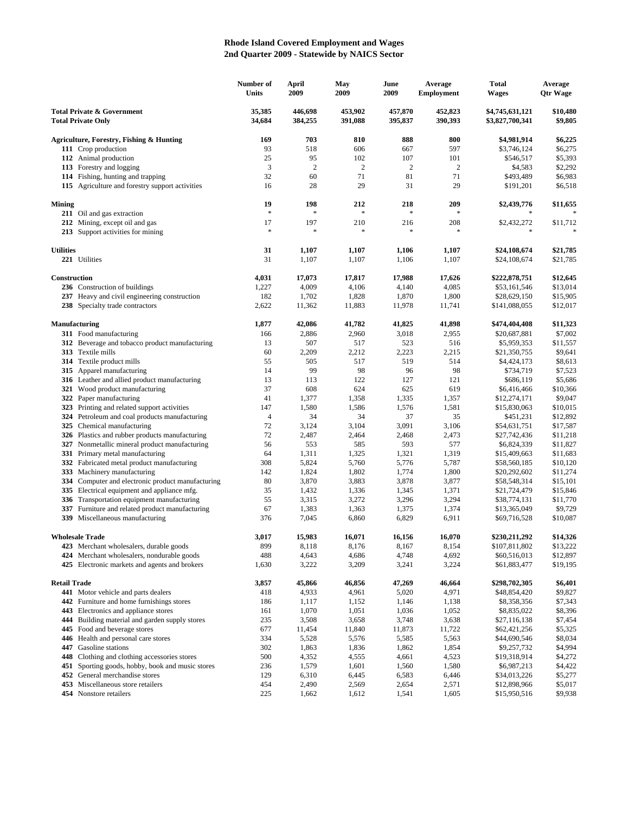## **Rhode Island Covered Employment and Wages 2nd Quarter 2009 - Statewide by NAICS Sector**

| <b>Total Private &amp; Government</b><br>35,385<br>446,698<br>453,902<br>457,870<br>452,823<br>\$4,745,631,121<br>\$10,480<br><b>Total Private Only</b><br>34,684<br>384,255<br>391,088<br>395,837<br>390,393<br>\$3,827,700,341<br>\$9,805<br>169<br>703<br>810<br>888<br>800<br>\$4,981,914<br>\$6,225<br>Agriculture, Forestry, Fishing & Hunting<br>597<br>93<br>518<br>606<br>667<br>\$6,275<br>111 Crop production<br>\$3,746,124<br>112 Animal production<br>25<br>95<br>102<br>107<br>101<br>\$546,517<br>\$5,393<br>3<br>$\overline{2}$<br>$\sqrt{2}$<br>2<br>2<br>\$2,292<br>113 Forestry and logging<br>\$4,583<br>32<br>60<br>71<br>81<br>71<br>\$493,489<br>\$6,983<br>114 Fishing, hunting and trapping<br>16<br>28<br>29<br>31<br>29<br>\$191,201<br>\$6,518<br>115 Agriculture and forestry support activities<br>19<br>198<br>212<br>218<br>209<br>\$2,439,776<br>\$11,655<br>$\ast$<br>$\ast$<br>$\ast$<br>211 Oil and gas extraction<br>*<br>17<br>197<br>210<br>216<br>208<br>\$2,432,272<br>\$11,712<br>212 Mining, except oil and gas<br>$\ast$<br>$\frac{1}{2}$<br>$\frac{d\mathbf{r}}{d\mathbf{r}}$<br>字<br>*<br>213 Support activities for mining<br><b>Utilities</b><br>31<br>1,107<br>1,107<br>1,106<br>1,107<br>\$24,108,674<br>\$21,785<br>31<br>221 Utilities<br>1,107<br>1,107<br>1,106<br>1,107<br>\$24,108,674<br>\$21,785<br>Construction<br>4,031<br>17,073<br>17,817<br>17,988<br>\$12,645<br>17,626<br>\$222,878,751<br>236 Construction of buildings<br>1,227<br>4,009<br>4,106<br>4,085<br>\$53,161,546<br>\$13,014<br>4,140<br>1,828<br>237 Heavy and civil engineering construction<br>182<br>1,702<br>1,870<br>1,800<br>\$28,629,150<br>\$15,905<br>238 Specialty trade contractors<br>2,622<br>11,362<br>11,883<br>11,978<br>11,741<br>\$12,017<br>\$141,088,055<br>Manufacturing<br>1,877<br>42,086<br>41,782<br>41,825<br>41,898<br>\$474,404,408<br>\$11,323<br>311 Food manufacturing<br>2,886<br>2,960<br>3,018<br>2,955<br>\$20,687,881<br>\$7,002<br>166<br>312 Beverage and tobacco product manufacturing<br>507<br>517<br>523<br>516<br>\$5,959,353<br>\$11,557<br>13<br>313 Textile mills<br>60<br>2,209<br>2,212<br>2,223<br>2,215<br>\$21,350,755<br>\$9,641<br>314 Textile product mills<br>55<br>505<br>517<br>519<br>514<br>\$4,424,173<br>\$8,613<br>99<br>315 Apparel manufacturing<br>14<br>98<br>96<br>98<br>\$734,719<br>\$7,523<br>316 Leather and allied product manufacturing<br>13<br>113<br>122<br>127<br>121<br>\$686,119<br>\$5,686<br>37<br>608<br>624<br>321 Wood product manufacturing<br>625<br>619<br>\$6,416,466<br>\$10,366<br>322 Paper manufacturing<br>41<br>1,377<br>1,358<br>1,335<br>1,357<br>\$12,274,171<br>\$9,047<br>323 Printing and related support activities<br>147<br>1,580<br>1,576<br>1,581<br>\$15,830,063<br>\$10,015<br>1,586<br>324 Petroleum and coal products manufacturing<br>$\overline{4}$<br>34<br>34<br>37<br>35<br>\$451,231<br>\$12,892<br>325 Chemical manufacturing<br>72<br>3,104<br>3,091<br>3,106<br>3,124<br>\$54,631,751<br>\$17,587<br>326 Plastics and rubber products manufacturing<br>72<br>2,487<br>2,473<br>\$27,742,436<br>2,464<br>2,468<br>\$11,218<br>56<br>553<br>585<br>593<br>577<br>\$6,824,339<br>\$11,827<br>327 Nonmetallic mineral product manufacturing<br>331 Primary metal manufacturing<br>64<br>1,311<br>1,325<br>1,321<br>1,319<br>\$15,409,663<br>\$11,683<br>332 Fabricated metal product manufacturing<br>308<br>5,824<br>5,760<br>5,787<br>5,776<br>\$58,560,185<br>\$10,120<br>333 Machinery manufacturing<br>1,824<br>1,802<br>1,774<br>1,800<br>\$20,292,602<br>\$11,274<br>142<br>334<br>Computer and electronic product manufacturing<br>80<br>3,870<br>3,883<br>3,878<br>3,877<br>\$58,548,314<br>\$15,101<br>335 Electrical equipment and appliance mfg.<br>35<br>1,371<br>\$21,724,479<br>\$15,846<br>1,432<br>1,336<br>1,345<br>336 Transportation equipment manufacturing<br>55<br>3,272<br>3,296<br>3,294<br>\$11,770<br>3,315<br>\$38,774,131<br>337 Furniture and related product manufacturing<br>67<br>1,383<br>1,363<br>1,375<br>1,374<br>\$13,365,049<br>\$9,729<br>339 Miscellaneous manufacturing<br>376<br>7,045<br>6,829<br>6,911<br>\$10,087<br>6,860<br>\$69,716,528<br>15,983<br>3,017<br>16,071<br>16,156<br>16,070<br>\$230,211,292<br>\$14,326<br><b>Wholesale Trade</b><br>899<br>8,118<br>8,176<br>8,167<br>8,154<br>\$107,811,802<br>\$13,222<br>423 Merchant wholesalers, durable goods<br>488<br>4,748<br>4,692<br>424 Merchant wholesalers, nondurable goods<br>4,643<br>4,686<br>\$60,516,013<br>\$12,897<br>425 Electronic markets and agents and brokers<br>1,630<br>3,222<br>3,209<br>3,241<br>3,224<br>\$61,883,477<br>\$19,195<br><b>Retail Trade</b><br>3,857<br>45,866<br>46,856<br>47,269<br>46,664<br>\$298,702,305<br>\$6,401<br>441 Motor vehicle and parts dealers<br>418<br>4,933<br>4,961<br>5,020<br>4,971<br>\$48,854,420<br>\$9,827<br>442 Furniture and home furnishings stores<br>1,152<br>1,138<br>\$8,358,356<br>\$7,343<br>186<br>1,117<br>1,146<br>\$8,396<br>443 Electronics and appliance stores<br>1,070<br>1,051<br>1,036<br>1,052<br>\$8,835,022<br>161<br>444 Building material and garden supply stores<br>235<br>3,508<br>3,658<br>3,748<br>3,638<br>\$27,116,138<br>\$7,454<br>\$5,325<br>445 Food and beverage stores<br>677<br>11,454<br>11,840<br>11,873<br>11,722<br>\$62,421,256<br>\$8,034<br>446 Health and personal care stores<br>334<br>5,528<br>5,576<br>5,585<br>5,563<br>\$44,690,546<br>\$4,994<br>Gasoline stations<br>302<br>1,863<br>1,836<br>1,854<br>\$9,257,732<br>447<br>1,862<br>448<br>Clothing and clothing accessories stores<br>500<br>4,555<br>4,523<br>\$19,318,914<br>\$4,272<br>4,352<br>4,661<br>Sporting goods, hobby, book and music stores<br>236<br>1,579<br>1,601<br>1,580<br>\$6,987,213<br>\$4,422<br>451<br>1,560<br>452 General merchandise stores<br>129<br>6,445<br>6,583<br>6,446<br>\$34,013,226<br>\$5,277<br>6,310<br>\$5,017<br>453 Miscellaneous store retailers<br>454<br>2,490<br>2,569<br>2,654<br>\$12,898,966<br>2,571<br>454 Nonstore retailers<br>225<br>1,612<br>1,541<br>1,605<br>\$15,950,516<br>\$9,938<br>1,662 |               |  | Number of<br>Units | April<br>2009 | May<br>2009 | June<br>2009 | Average<br><b>Employment</b> | <b>Total</b><br><b>Wages</b> | Average<br><b>Qtr Wage</b> |
|---------------------------------------------------------------------------------------------------------------------------------------------------------------------------------------------------------------------------------------------------------------------------------------------------------------------------------------------------------------------------------------------------------------------------------------------------------------------------------------------------------------------------------------------------------------------------------------------------------------------------------------------------------------------------------------------------------------------------------------------------------------------------------------------------------------------------------------------------------------------------------------------------------------------------------------------------------------------------------------------------------------------------------------------------------------------------------------------------------------------------------------------------------------------------------------------------------------------------------------------------------------------------------------------------------------------------------------------------------------------------------------------------------------------------------------------------------------------------------------------------------------------------------------------------------------------------------------------------------------------------------------------------------------------------------------------------------------------------------------------------------------------------------------------------------------------------------------------------------------------------------------------------------------------------------------------------------------------------------------------------------------------------------------------------------------------------------------------------------------------------------------------------------------------------------------------------------------------------------------------------------------------------------------------------------------------------------------------------------------------------------------------------------------------------------------------------------------------------------------------------------------------------------------------------------------------------------------------------------------------------------------------------------------------------------------------------------------------------------------------------------------------------------------------------------------------------------------------------------------------------------------------------------------------------------------------------------------------------------------------------------------------------------------------------------------------------------------------------------------------------------------------------------------------------------------------------------------------------------------------------------------------------------------------------------------------------------------------------------------------------------------------------------------------------------------------------------------------------------------------------------------------------------------------------------------------------------------------------------------------------------------------------------------------------------------------------------------------------------------------------------------------------------------------------------------------------------------------------------------------------------------------------------------------------------------------------------------------------------------------------------------------------------------------------------------------------------------------------------------------------------------------------------------------------------------------------------------------------------------------------------------------------------------------------------------------------------------------------------------------------------------------------------------------------------------------------------------------------------------------------------------------------------------------------------------------------------------------------------------------------------------------------------------------------------------------------------------------------------------------------------------------------------------------------------------------------------------------------------------------------------------------------------------------------------------------------------------------------------------------------------------------------------------------------------------------------------------------------------------------------------------------------------------------------------------------------------------------------------------------------------------------------------------------------------------------------------------------------------------------------------------------------------------------------------------------------------------------------------------------------------------------------------------------------------------------------------------------------------------------------------------------------------------------------------------------------------------------------------------------------------------------------------------------------------------------------------------------------------------------------------------------------------------------------------------------------------------------------------------------------------------------------------------------------------------------------------------------------------------------------------------------------------------------------------------------|---------------|--|--------------------|---------------|-------------|--------------|------------------------------|------------------------------|----------------------------|
|                                                                                                                                                                                                                                                                                                                                                                                                                                                                                                                                                                                                                                                                                                                                                                                                                                                                                                                                                                                                                                                                                                                                                                                                                                                                                                                                                                                                                                                                                                                                                                                                                                                                                                                                                                                                                                                                                                                                                                                                                                                                                                                                                                                                                                                                                                                                                                                                                                                                                                                                                                                                                                                                                                                                                                                                                                                                                                                                                                                                                                                                                                                                                                                                                                                                                                                                                                                                                                                                                                                                                                                                                                                                                                                                                                                                                                                                                                                                                                                                                                                                                                                                                                                                                                                                                                                                                                                                                                                                                                                                                                                                                                                                                                                                                                                                                                                                                                                                                                                                                                                                                                                                                                                                                                                                                                                                                                                                                                                                                                                                                                                                                                                                                                                                                                                                                                                                                                                                                                                                                                                                                                                                                                                             |               |  |                    |               |             |              |                              |                              |                            |
|                                                                                                                                                                                                                                                                                                                                                                                                                                                                                                                                                                                                                                                                                                                                                                                                                                                                                                                                                                                                                                                                                                                                                                                                                                                                                                                                                                                                                                                                                                                                                                                                                                                                                                                                                                                                                                                                                                                                                                                                                                                                                                                                                                                                                                                                                                                                                                                                                                                                                                                                                                                                                                                                                                                                                                                                                                                                                                                                                                                                                                                                                                                                                                                                                                                                                                                                                                                                                                                                                                                                                                                                                                                                                                                                                                                                                                                                                                                                                                                                                                                                                                                                                                                                                                                                                                                                                                                                                                                                                                                                                                                                                                                                                                                                                                                                                                                                                                                                                                                                                                                                                                                                                                                                                                                                                                                                                                                                                                                                                                                                                                                                                                                                                                                                                                                                                                                                                                                                                                                                                                                                                                                                                                                             |               |  |                    |               |             |              |                              |                              |                            |
|                                                                                                                                                                                                                                                                                                                                                                                                                                                                                                                                                                                                                                                                                                                                                                                                                                                                                                                                                                                                                                                                                                                                                                                                                                                                                                                                                                                                                                                                                                                                                                                                                                                                                                                                                                                                                                                                                                                                                                                                                                                                                                                                                                                                                                                                                                                                                                                                                                                                                                                                                                                                                                                                                                                                                                                                                                                                                                                                                                                                                                                                                                                                                                                                                                                                                                                                                                                                                                                                                                                                                                                                                                                                                                                                                                                                                                                                                                                                                                                                                                                                                                                                                                                                                                                                                                                                                                                                                                                                                                                                                                                                                                                                                                                                                                                                                                                                                                                                                                                                                                                                                                                                                                                                                                                                                                                                                                                                                                                                                                                                                                                                                                                                                                                                                                                                                                                                                                                                                                                                                                                                                                                                                                                             |               |  |                    |               |             |              |                              |                              |                            |
|                                                                                                                                                                                                                                                                                                                                                                                                                                                                                                                                                                                                                                                                                                                                                                                                                                                                                                                                                                                                                                                                                                                                                                                                                                                                                                                                                                                                                                                                                                                                                                                                                                                                                                                                                                                                                                                                                                                                                                                                                                                                                                                                                                                                                                                                                                                                                                                                                                                                                                                                                                                                                                                                                                                                                                                                                                                                                                                                                                                                                                                                                                                                                                                                                                                                                                                                                                                                                                                                                                                                                                                                                                                                                                                                                                                                                                                                                                                                                                                                                                                                                                                                                                                                                                                                                                                                                                                                                                                                                                                                                                                                                                                                                                                                                                                                                                                                                                                                                                                                                                                                                                                                                                                                                                                                                                                                                                                                                                                                                                                                                                                                                                                                                                                                                                                                                                                                                                                                                                                                                                                                                                                                                                                             |               |  |                    |               |             |              |                              |                              |                            |
|                                                                                                                                                                                                                                                                                                                                                                                                                                                                                                                                                                                                                                                                                                                                                                                                                                                                                                                                                                                                                                                                                                                                                                                                                                                                                                                                                                                                                                                                                                                                                                                                                                                                                                                                                                                                                                                                                                                                                                                                                                                                                                                                                                                                                                                                                                                                                                                                                                                                                                                                                                                                                                                                                                                                                                                                                                                                                                                                                                                                                                                                                                                                                                                                                                                                                                                                                                                                                                                                                                                                                                                                                                                                                                                                                                                                                                                                                                                                                                                                                                                                                                                                                                                                                                                                                                                                                                                                                                                                                                                                                                                                                                                                                                                                                                                                                                                                                                                                                                                                                                                                                                                                                                                                                                                                                                                                                                                                                                                                                                                                                                                                                                                                                                                                                                                                                                                                                                                                                                                                                                                                                                                                                                                             |               |  |                    |               |             |              |                              |                              |                            |
|                                                                                                                                                                                                                                                                                                                                                                                                                                                                                                                                                                                                                                                                                                                                                                                                                                                                                                                                                                                                                                                                                                                                                                                                                                                                                                                                                                                                                                                                                                                                                                                                                                                                                                                                                                                                                                                                                                                                                                                                                                                                                                                                                                                                                                                                                                                                                                                                                                                                                                                                                                                                                                                                                                                                                                                                                                                                                                                                                                                                                                                                                                                                                                                                                                                                                                                                                                                                                                                                                                                                                                                                                                                                                                                                                                                                                                                                                                                                                                                                                                                                                                                                                                                                                                                                                                                                                                                                                                                                                                                                                                                                                                                                                                                                                                                                                                                                                                                                                                                                                                                                                                                                                                                                                                                                                                                                                                                                                                                                                                                                                                                                                                                                                                                                                                                                                                                                                                                                                                                                                                                                                                                                                                                             |               |  |                    |               |             |              |                              |                              |                            |
|                                                                                                                                                                                                                                                                                                                                                                                                                                                                                                                                                                                                                                                                                                                                                                                                                                                                                                                                                                                                                                                                                                                                                                                                                                                                                                                                                                                                                                                                                                                                                                                                                                                                                                                                                                                                                                                                                                                                                                                                                                                                                                                                                                                                                                                                                                                                                                                                                                                                                                                                                                                                                                                                                                                                                                                                                                                                                                                                                                                                                                                                                                                                                                                                                                                                                                                                                                                                                                                                                                                                                                                                                                                                                                                                                                                                                                                                                                                                                                                                                                                                                                                                                                                                                                                                                                                                                                                                                                                                                                                                                                                                                                                                                                                                                                                                                                                                                                                                                                                                                                                                                                                                                                                                                                                                                                                                                                                                                                                                                                                                                                                                                                                                                                                                                                                                                                                                                                                                                                                                                                                                                                                                                                                             |               |  |                    |               |             |              |                              |                              |                            |
|                                                                                                                                                                                                                                                                                                                                                                                                                                                                                                                                                                                                                                                                                                                                                                                                                                                                                                                                                                                                                                                                                                                                                                                                                                                                                                                                                                                                                                                                                                                                                                                                                                                                                                                                                                                                                                                                                                                                                                                                                                                                                                                                                                                                                                                                                                                                                                                                                                                                                                                                                                                                                                                                                                                                                                                                                                                                                                                                                                                                                                                                                                                                                                                                                                                                                                                                                                                                                                                                                                                                                                                                                                                                                                                                                                                                                                                                                                                                                                                                                                                                                                                                                                                                                                                                                                                                                                                                                                                                                                                                                                                                                                                                                                                                                                                                                                                                                                                                                                                                                                                                                                                                                                                                                                                                                                                                                                                                                                                                                                                                                                                                                                                                                                                                                                                                                                                                                                                                                                                                                                                                                                                                                                                             | <b>Mining</b> |  |                    |               |             |              |                              |                              |                            |
|                                                                                                                                                                                                                                                                                                                                                                                                                                                                                                                                                                                                                                                                                                                                                                                                                                                                                                                                                                                                                                                                                                                                                                                                                                                                                                                                                                                                                                                                                                                                                                                                                                                                                                                                                                                                                                                                                                                                                                                                                                                                                                                                                                                                                                                                                                                                                                                                                                                                                                                                                                                                                                                                                                                                                                                                                                                                                                                                                                                                                                                                                                                                                                                                                                                                                                                                                                                                                                                                                                                                                                                                                                                                                                                                                                                                                                                                                                                                                                                                                                                                                                                                                                                                                                                                                                                                                                                                                                                                                                                                                                                                                                                                                                                                                                                                                                                                                                                                                                                                                                                                                                                                                                                                                                                                                                                                                                                                                                                                                                                                                                                                                                                                                                                                                                                                                                                                                                                                                                                                                                                                                                                                                                                             |               |  |                    |               |             |              |                              |                              |                            |
|                                                                                                                                                                                                                                                                                                                                                                                                                                                                                                                                                                                                                                                                                                                                                                                                                                                                                                                                                                                                                                                                                                                                                                                                                                                                                                                                                                                                                                                                                                                                                                                                                                                                                                                                                                                                                                                                                                                                                                                                                                                                                                                                                                                                                                                                                                                                                                                                                                                                                                                                                                                                                                                                                                                                                                                                                                                                                                                                                                                                                                                                                                                                                                                                                                                                                                                                                                                                                                                                                                                                                                                                                                                                                                                                                                                                                                                                                                                                                                                                                                                                                                                                                                                                                                                                                                                                                                                                                                                                                                                                                                                                                                                                                                                                                                                                                                                                                                                                                                                                                                                                                                                                                                                                                                                                                                                                                                                                                                                                                                                                                                                                                                                                                                                                                                                                                                                                                                                                                                                                                                                                                                                                                                                             |               |  |                    |               |             |              |                              |                              |                            |
|                                                                                                                                                                                                                                                                                                                                                                                                                                                                                                                                                                                                                                                                                                                                                                                                                                                                                                                                                                                                                                                                                                                                                                                                                                                                                                                                                                                                                                                                                                                                                                                                                                                                                                                                                                                                                                                                                                                                                                                                                                                                                                                                                                                                                                                                                                                                                                                                                                                                                                                                                                                                                                                                                                                                                                                                                                                                                                                                                                                                                                                                                                                                                                                                                                                                                                                                                                                                                                                                                                                                                                                                                                                                                                                                                                                                                                                                                                                                                                                                                                                                                                                                                                                                                                                                                                                                                                                                                                                                                                                                                                                                                                                                                                                                                                                                                                                                                                                                                                                                                                                                                                                                                                                                                                                                                                                                                                                                                                                                                                                                                                                                                                                                                                                                                                                                                                                                                                                                                                                                                                                                                                                                                                                             |               |  |                    |               |             |              |                              |                              |                            |
|                                                                                                                                                                                                                                                                                                                                                                                                                                                                                                                                                                                                                                                                                                                                                                                                                                                                                                                                                                                                                                                                                                                                                                                                                                                                                                                                                                                                                                                                                                                                                                                                                                                                                                                                                                                                                                                                                                                                                                                                                                                                                                                                                                                                                                                                                                                                                                                                                                                                                                                                                                                                                                                                                                                                                                                                                                                                                                                                                                                                                                                                                                                                                                                                                                                                                                                                                                                                                                                                                                                                                                                                                                                                                                                                                                                                                                                                                                                                                                                                                                                                                                                                                                                                                                                                                                                                                                                                                                                                                                                                                                                                                                                                                                                                                                                                                                                                                                                                                                                                                                                                                                                                                                                                                                                                                                                                                                                                                                                                                                                                                                                                                                                                                                                                                                                                                                                                                                                                                                                                                                                                                                                                                                                             |               |  |                    |               |             |              |                              |                              |                            |
|                                                                                                                                                                                                                                                                                                                                                                                                                                                                                                                                                                                                                                                                                                                                                                                                                                                                                                                                                                                                                                                                                                                                                                                                                                                                                                                                                                                                                                                                                                                                                                                                                                                                                                                                                                                                                                                                                                                                                                                                                                                                                                                                                                                                                                                                                                                                                                                                                                                                                                                                                                                                                                                                                                                                                                                                                                                                                                                                                                                                                                                                                                                                                                                                                                                                                                                                                                                                                                                                                                                                                                                                                                                                                                                                                                                                                                                                                                                                                                                                                                                                                                                                                                                                                                                                                                                                                                                                                                                                                                                                                                                                                                                                                                                                                                                                                                                                                                                                                                                                                                                                                                                                                                                                                                                                                                                                                                                                                                                                                                                                                                                                                                                                                                                                                                                                                                                                                                                                                                                                                                                                                                                                                                                             |               |  |                    |               |             |              |                              |                              |                            |
|                                                                                                                                                                                                                                                                                                                                                                                                                                                                                                                                                                                                                                                                                                                                                                                                                                                                                                                                                                                                                                                                                                                                                                                                                                                                                                                                                                                                                                                                                                                                                                                                                                                                                                                                                                                                                                                                                                                                                                                                                                                                                                                                                                                                                                                                                                                                                                                                                                                                                                                                                                                                                                                                                                                                                                                                                                                                                                                                                                                                                                                                                                                                                                                                                                                                                                                                                                                                                                                                                                                                                                                                                                                                                                                                                                                                                                                                                                                                                                                                                                                                                                                                                                                                                                                                                                                                                                                                                                                                                                                                                                                                                                                                                                                                                                                                                                                                                                                                                                                                                                                                                                                                                                                                                                                                                                                                                                                                                                                                                                                                                                                                                                                                                                                                                                                                                                                                                                                                                                                                                                                                                                                                                                                             |               |  |                    |               |             |              |                              |                              |                            |
|                                                                                                                                                                                                                                                                                                                                                                                                                                                                                                                                                                                                                                                                                                                                                                                                                                                                                                                                                                                                                                                                                                                                                                                                                                                                                                                                                                                                                                                                                                                                                                                                                                                                                                                                                                                                                                                                                                                                                                                                                                                                                                                                                                                                                                                                                                                                                                                                                                                                                                                                                                                                                                                                                                                                                                                                                                                                                                                                                                                                                                                                                                                                                                                                                                                                                                                                                                                                                                                                                                                                                                                                                                                                                                                                                                                                                                                                                                                                                                                                                                                                                                                                                                                                                                                                                                                                                                                                                                                                                                                                                                                                                                                                                                                                                                                                                                                                                                                                                                                                                                                                                                                                                                                                                                                                                                                                                                                                                                                                                                                                                                                                                                                                                                                                                                                                                                                                                                                                                                                                                                                                                                                                                                                             |               |  |                    |               |             |              |                              |                              |                            |
|                                                                                                                                                                                                                                                                                                                                                                                                                                                                                                                                                                                                                                                                                                                                                                                                                                                                                                                                                                                                                                                                                                                                                                                                                                                                                                                                                                                                                                                                                                                                                                                                                                                                                                                                                                                                                                                                                                                                                                                                                                                                                                                                                                                                                                                                                                                                                                                                                                                                                                                                                                                                                                                                                                                                                                                                                                                                                                                                                                                                                                                                                                                                                                                                                                                                                                                                                                                                                                                                                                                                                                                                                                                                                                                                                                                                                                                                                                                                                                                                                                                                                                                                                                                                                                                                                                                                                                                                                                                                                                                                                                                                                                                                                                                                                                                                                                                                                                                                                                                                                                                                                                                                                                                                                                                                                                                                                                                                                                                                                                                                                                                                                                                                                                                                                                                                                                                                                                                                                                                                                                                                                                                                                                                             |               |  |                    |               |             |              |                              |                              |                            |
|                                                                                                                                                                                                                                                                                                                                                                                                                                                                                                                                                                                                                                                                                                                                                                                                                                                                                                                                                                                                                                                                                                                                                                                                                                                                                                                                                                                                                                                                                                                                                                                                                                                                                                                                                                                                                                                                                                                                                                                                                                                                                                                                                                                                                                                                                                                                                                                                                                                                                                                                                                                                                                                                                                                                                                                                                                                                                                                                                                                                                                                                                                                                                                                                                                                                                                                                                                                                                                                                                                                                                                                                                                                                                                                                                                                                                                                                                                                                                                                                                                                                                                                                                                                                                                                                                                                                                                                                                                                                                                                                                                                                                                                                                                                                                                                                                                                                                                                                                                                                                                                                                                                                                                                                                                                                                                                                                                                                                                                                                                                                                                                                                                                                                                                                                                                                                                                                                                                                                                                                                                                                                                                                                                                             |               |  |                    |               |             |              |                              |                              |                            |
|                                                                                                                                                                                                                                                                                                                                                                                                                                                                                                                                                                                                                                                                                                                                                                                                                                                                                                                                                                                                                                                                                                                                                                                                                                                                                                                                                                                                                                                                                                                                                                                                                                                                                                                                                                                                                                                                                                                                                                                                                                                                                                                                                                                                                                                                                                                                                                                                                                                                                                                                                                                                                                                                                                                                                                                                                                                                                                                                                                                                                                                                                                                                                                                                                                                                                                                                                                                                                                                                                                                                                                                                                                                                                                                                                                                                                                                                                                                                                                                                                                                                                                                                                                                                                                                                                                                                                                                                                                                                                                                                                                                                                                                                                                                                                                                                                                                                                                                                                                                                                                                                                                                                                                                                                                                                                                                                                                                                                                                                                                                                                                                                                                                                                                                                                                                                                                                                                                                                                                                                                                                                                                                                                                                             |               |  |                    |               |             |              |                              |                              |                            |
|                                                                                                                                                                                                                                                                                                                                                                                                                                                                                                                                                                                                                                                                                                                                                                                                                                                                                                                                                                                                                                                                                                                                                                                                                                                                                                                                                                                                                                                                                                                                                                                                                                                                                                                                                                                                                                                                                                                                                                                                                                                                                                                                                                                                                                                                                                                                                                                                                                                                                                                                                                                                                                                                                                                                                                                                                                                                                                                                                                                                                                                                                                                                                                                                                                                                                                                                                                                                                                                                                                                                                                                                                                                                                                                                                                                                                                                                                                                                                                                                                                                                                                                                                                                                                                                                                                                                                                                                                                                                                                                                                                                                                                                                                                                                                                                                                                                                                                                                                                                                                                                                                                                                                                                                                                                                                                                                                                                                                                                                                                                                                                                                                                                                                                                                                                                                                                                                                                                                                                                                                                                                                                                                                                                             |               |  |                    |               |             |              |                              |                              |                            |
|                                                                                                                                                                                                                                                                                                                                                                                                                                                                                                                                                                                                                                                                                                                                                                                                                                                                                                                                                                                                                                                                                                                                                                                                                                                                                                                                                                                                                                                                                                                                                                                                                                                                                                                                                                                                                                                                                                                                                                                                                                                                                                                                                                                                                                                                                                                                                                                                                                                                                                                                                                                                                                                                                                                                                                                                                                                                                                                                                                                                                                                                                                                                                                                                                                                                                                                                                                                                                                                                                                                                                                                                                                                                                                                                                                                                                                                                                                                                                                                                                                                                                                                                                                                                                                                                                                                                                                                                                                                                                                                                                                                                                                                                                                                                                                                                                                                                                                                                                                                                                                                                                                                                                                                                                                                                                                                                                                                                                                                                                                                                                                                                                                                                                                                                                                                                                                                                                                                                                                                                                                                                                                                                                                                             |               |  |                    |               |             |              |                              |                              |                            |
|                                                                                                                                                                                                                                                                                                                                                                                                                                                                                                                                                                                                                                                                                                                                                                                                                                                                                                                                                                                                                                                                                                                                                                                                                                                                                                                                                                                                                                                                                                                                                                                                                                                                                                                                                                                                                                                                                                                                                                                                                                                                                                                                                                                                                                                                                                                                                                                                                                                                                                                                                                                                                                                                                                                                                                                                                                                                                                                                                                                                                                                                                                                                                                                                                                                                                                                                                                                                                                                                                                                                                                                                                                                                                                                                                                                                                                                                                                                                                                                                                                                                                                                                                                                                                                                                                                                                                                                                                                                                                                                                                                                                                                                                                                                                                                                                                                                                                                                                                                                                                                                                                                                                                                                                                                                                                                                                                                                                                                                                                                                                                                                                                                                                                                                                                                                                                                                                                                                                                                                                                                                                                                                                                                                             |               |  |                    |               |             |              |                              |                              |                            |
|                                                                                                                                                                                                                                                                                                                                                                                                                                                                                                                                                                                                                                                                                                                                                                                                                                                                                                                                                                                                                                                                                                                                                                                                                                                                                                                                                                                                                                                                                                                                                                                                                                                                                                                                                                                                                                                                                                                                                                                                                                                                                                                                                                                                                                                                                                                                                                                                                                                                                                                                                                                                                                                                                                                                                                                                                                                                                                                                                                                                                                                                                                                                                                                                                                                                                                                                                                                                                                                                                                                                                                                                                                                                                                                                                                                                                                                                                                                                                                                                                                                                                                                                                                                                                                                                                                                                                                                                                                                                                                                                                                                                                                                                                                                                                                                                                                                                                                                                                                                                                                                                                                                                                                                                                                                                                                                                                                                                                                                                                                                                                                                                                                                                                                                                                                                                                                                                                                                                                                                                                                                                                                                                                                                             |               |  |                    |               |             |              |                              |                              |                            |
|                                                                                                                                                                                                                                                                                                                                                                                                                                                                                                                                                                                                                                                                                                                                                                                                                                                                                                                                                                                                                                                                                                                                                                                                                                                                                                                                                                                                                                                                                                                                                                                                                                                                                                                                                                                                                                                                                                                                                                                                                                                                                                                                                                                                                                                                                                                                                                                                                                                                                                                                                                                                                                                                                                                                                                                                                                                                                                                                                                                                                                                                                                                                                                                                                                                                                                                                                                                                                                                                                                                                                                                                                                                                                                                                                                                                                                                                                                                                                                                                                                                                                                                                                                                                                                                                                                                                                                                                                                                                                                                                                                                                                                                                                                                                                                                                                                                                                                                                                                                                                                                                                                                                                                                                                                                                                                                                                                                                                                                                                                                                                                                                                                                                                                                                                                                                                                                                                                                                                                                                                                                                                                                                                                                             |               |  |                    |               |             |              |                              |                              |                            |
|                                                                                                                                                                                                                                                                                                                                                                                                                                                                                                                                                                                                                                                                                                                                                                                                                                                                                                                                                                                                                                                                                                                                                                                                                                                                                                                                                                                                                                                                                                                                                                                                                                                                                                                                                                                                                                                                                                                                                                                                                                                                                                                                                                                                                                                                                                                                                                                                                                                                                                                                                                                                                                                                                                                                                                                                                                                                                                                                                                                                                                                                                                                                                                                                                                                                                                                                                                                                                                                                                                                                                                                                                                                                                                                                                                                                                                                                                                                                                                                                                                                                                                                                                                                                                                                                                                                                                                                                                                                                                                                                                                                                                                                                                                                                                                                                                                                                                                                                                                                                                                                                                                                                                                                                                                                                                                                                                                                                                                                                                                                                                                                                                                                                                                                                                                                                                                                                                                                                                                                                                                                                                                                                                                                             |               |  |                    |               |             |              |                              |                              |                            |
|                                                                                                                                                                                                                                                                                                                                                                                                                                                                                                                                                                                                                                                                                                                                                                                                                                                                                                                                                                                                                                                                                                                                                                                                                                                                                                                                                                                                                                                                                                                                                                                                                                                                                                                                                                                                                                                                                                                                                                                                                                                                                                                                                                                                                                                                                                                                                                                                                                                                                                                                                                                                                                                                                                                                                                                                                                                                                                                                                                                                                                                                                                                                                                                                                                                                                                                                                                                                                                                                                                                                                                                                                                                                                                                                                                                                                                                                                                                                                                                                                                                                                                                                                                                                                                                                                                                                                                                                                                                                                                                                                                                                                                                                                                                                                                                                                                                                                                                                                                                                                                                                                                                                                                                                                                                                                                                                                                                                                                                                                                                                                                                                                                                                                                                                                                                                                                                                                                                                                                                                                                                                                                                                                                                             |               |  |                    |               |             |              |                              |                              |                            |
|                                                                                                                                                                                                                                                                                                                                                                                                                                                                                                                                                                                                                                                                                                                                                                                                                                                                                                                                                                                                                                                                                                                                                                                                                                                                                                                                                                                                                                                                                                                                                                                                                                                                                                                                                                                                                                                                                                                                                                                                                                                                                                                                                                                                                                                                                                                                                                                                                                                                                                                                                                                                                                                                                                                                                                                                                                                                                                                                                                                                                                                                                                                                                                                                                                                                                                                                                                                                                                                                                                                                                                                                                                                                                                                                                                                                                                                                                                                                                                                                                                                                                                                                                                                                                                                                                                                                                                                                                                                                                                                                                                                                                                                                                                                                                                                                                                                                                                                                                                                                                                                                                                                                                                                                                                                                                                                                                                                                                                                                                                                                                                                                                                                                                                                                                                                                                                                                                                                                                                                                                                                                                                                                                                                             |               |  |                    |               |             |              |                              |                              |                            |
|                                                                                                                                                                                                                                                                                                                                                                                                                                                                                                                                                                                                                                                                                                                                                                                                                                                                                                                                                                                                                                                                                                                                                                                                                                                                                                                                                                                                                                                                                                                                                                                                                                                                                                                                                                                                                                                                                                                                                                                                                                                                                                                                                                                                                                                                                                                                                                                                                                                                                                                                                                                                                                                                                                                                                                                                                                                                                                                                                                                                                                                                                                                                                                                                                                                                                                                                                                                                                                                                                                                                                                                                                                                                                                                                                                                                                                                                                                                                                                                                                                                                                                                                                                                                                                                                                                                                                                                                                                                                                                                                                                                                                                                                                                                                                                                                                                                                                                                                                                                                                                                                                                                                                                                                                                                                                                                                                                                                                                                                                                                                                                                                                                                                                                                                                                                                                                                                                                                                                                                                                                                                                                                                                                                             |               |  |                    |               |             |              |                              |                              |                            |
|                                                                                                                                                                                                                                                                                                                                                                                                                                                                                                                                                                                                                                                                                                                                                                                                                                                                                                                                                                                                                                                                                                                                                                                                                                                                                                                                                                                                                                                                                                                                                                                                                                                                                                                                                                                                                                                                                                                                                                                                                                                                                                                                                                                                                                                                                                                                                                                                                                                                                                                                                                                                                                                                                                                                                                                                                                                                                                                                                                                                                                                                                                                                                                                                                                                                                                                                                                                                                                                                                                                                                                                                                                                                                                                                                                                                                                                                                                                                                                                                                                                                                                                                                                                                                                                                                                                                                                                                                                                                                                                                                                                                                                                                                                                                                                                                                                                                                                                                                                                                                                                                                                                                                                                                                                                                                                                                                                                                                                                                                                                                                                                                                                                                                                                                                                                                                                                                                                                                                                                                                                                                                                                                                                                             |               |  |                    |               |             |              |                              |                              |                            |
|                                                                                                                                                                                                                                                                                                                                                                                                                                                                                                                                                                                                                                                                                                                                                                                                                                                                                                                                                                                                                                                                                                                                                                                                                                                                                                                                                                                                                                                                                                                                                                                                                                                                                                                                                                                                                                                                                                                                                                                                                                                                                                                                                                                                                                                                                                                                                                                                                                                                                                                                                                                                                                                                                                                                                                                                                                                                                                                                                                                                                                                                                                                                                                                                                                                                                                                                                                                                                                                                                                                                                                                                                                                                                                                                                                                                                                                                                                                                                                                                                                                                                                                                                                                                                                                                                                                                                                                                                                                                                                                                                                                                                                                                                                                                                                                                                                                                                                                                                                                                                                                                                                                                                                                                                                                                                                                                                                                                                                                                                                                                                                                                                                                                                                                                                                                                                                                                                                                                                                                                                                                                                                                                                                                             |               |  |                    |               |             |              |                              |                              |                            |
|                                                                                                                                                                                                                                                                                                                                                                                                                                                                                                                                                                                                                                                                                                                                                                                                                                                                                                                                                                                                                                                                                                                                                                                                                                                                                                                                                                                                                                                                                                                                                                                                                                                                                                                                                                                                                                                                                                                                                                                                                                                                                                                                                                                                                                                                                                                                                                                                                                                                                                                                                                                                                                                                                                                                                                                                                                                                                                                                                                                                                                                                                                                                                                                                                                                                                                                                                                                                                                                                                                                                                                                                                                                                                                                                                                                                                                                                                                                                                                                                                                                                                                                                                                                                                                                                                                                                                                                                                                                                                                                                                                                                                                                                                                                                                                                                                                                                                                                                                                                                                                                                                                                                                                                                                                                                                                                                                                                                                                                                                                                                                                                                                                                                                                                                                                                                                                                                                                                                                                                                                                                                                                                                                                                             |               |  |                    |               |             |              |                              |                              |                            |
|                                                                                                                                                                                                                                                                                                                                                                                                                                                                                                                                                                                                                                                                                                                                                                                                                                                                                                                                                                                                                                                                                                                                                                                                                                                                                                                                                                                                                                                                                                                                                                                                                                                                                                                                                                                                                                                                                                                                                                                                                                                                                                                                                                                                                                                                                                                                                                                                                                                                                                                                                                                                                                                                                                                                                                                                                                                                                                                                                                                                                                                                                                                                                                                                                                                                                                                                                                                                                                                                                                                                                                                                                                                                                                                                                                                                                                                                                                                                                                                                                                                                                                                                                                                                                                                                                                                                                                                                                                                                                                                                                                                                                                                                                                                                                                                                                                                                                                                                                                                                                                                                                                                                                                                                                                                                                                                                                                                                                                                                                                                                                                                                                                                                                                                                                                                                                                                                                                                                                                                                                                                                                                                                                                                             |               |  |                    |               |             |              |                              |                              |                            |
|                                                                                                                                                                                                                                                                                                                                                                                                                                                                                                                                                                                                                                                                                                                                                                                                                                                                                                                                                                                                                                                                                                                                                                                                                                                                                                                                                                                                                                                                                                                                                                                                                                                                                                                                                                                                                                                                                                                                                                                                                                                                                                                                                                                                                                                                                                                                                                                                                                                                                                                                                                                                                                                                                                                                                                                                                                                                                                                                                                                                                                                                                                                                                                                                                                                                                                                                                                                                                                                                                                                                                                                                                                                                                                                                                                                                                                                                                                                                                                                                                                                                                                                                                                                                                                                                                                                                                                                                                                                                                                                                                                                                                                                                                                                                                                                                                                                                                                                                                                                                                                                                                                                                                                                                                                                                                                                                                                                                                                                                                                                                                                                                                                                                                                                                                                                                                                                                                                                                                                                                                                                                                                                                                                                             |               |  |                    |               |             |              |                              |                              |                            |
|                                                                                                                                                                                                                                                                                                                                                                                                                                                                                                                                                                                                                                                                                                                                                                                                                                                                                                                                                                                                                                                                                                                                                                                                                                                                                                                                                                                                                                                                                                                                                                                                                                                                                                                                                                                                                                                                                                                                                                                                                                                                                                                                                                                                                                                                                                                                                                                                                                                                                                                                                                                                                                                                                                                                                                                                                                                                                                                                                                                                                                                                                                                                                                                                                                                                                                                                                                                                                                                                                                                                                                                                                                                                                                                                                                                                                                                                                                                                                                                                                                                                                                                                                                                                                                                                                                                                                                                                                                                                                                                                                                                                                                                                                                                                                                                                                                                                                                                                                                                                                                                                                                                                                                                                                                                                                                                                                                                                                                                                                                                                                                                                                                                                                                                                                                                                                                                                                                                                                                                                                                                                                                                                                                                             |               |  |                    |               |             |              |                              |                              |                            |
|                                                                                                                                                                                                                                                                                                                                                                                                                                                                                                                                                                                                                                                                                                                                                                                                                                                                                                                                                                                                                                                                                                                                                                                                                                                                                                                                                                                                                                                                                                                                                                                                                                                                                                                                                                                                                                                                                                                                                                                                                                                                                                                                                                                                                                                                                                                                                                                                                                                                                                                                                                                                                                                                                                                                                                                                                                                                                                                                                                                                                                                                                                                                                                                                                                                                                                                                                                                                                                                                                                                                                                                                                                                                                                                                                                                                                                                                                                                                                                                                                                                                                                                                                                                                                                                                                                                                                                                                                                                                                                                                                                                                                                                                                                                                                                                                                                                                                                                                                                                                                                                                                                                                                                                                                                                                                                                                                                                                                                                                                                                                                                                                                                                                                                                                                                                                                                                                                                                                                                                                                                                                                                                                                                                             |               |  |                    |               |             |              |                              |                              |                            |
|                                                                                                                                                                                                                                                                                                                                                                                                                                                                                                                                                                                                                                                                                                                                                                                                                                                                                                                                                                                                                                                                                                                                                                                                                                                                                                                                                                                                                                                                                                                                                                                                                                                                                                                                                                                                                                                                                                                                                                                                                                                                                                                                                                                                                                                                                                                                                                                                                                                                                                                                                                                                                                                                                                                                                                                                                                                                                                                                                                                                                                                                                                                                                                                                                                                                                                                                                                                                                                                                                                                                                                                                                                                                                                                                                                                                                                                                                                                                                                                                                                                                                                                                                                                                                                                                                                                                                                                                                                                                                                                                                                                                                                                                                                                                                                                                                                                                                                                                                                                                                                                                                                                                                                                                                                                                                                                                                                                                                                                                                                                                                                                                                                                                                                                                                                                                                                                                                                                                                                                                                                                                                                                                                                                             |               |  |                    |               |             |              |                              |                              |                            |
|                                                                                                                                                                                                                                                                                                                                                                                                                                                                                                                                                                                                                                                                                                                                                                                                                                                                                                                                                                                                                                                                                                                                                                                                                                                                                                                                                                                                                                                                                                                                                                                                                                                                                                                                                                                                                                                                                                                                                                                                                                                                                                                                                                                                                                                                                                                                                                                                                                                                                                                                                                                                                                                                                                                                                                                                                                                                                                                                                                                                                                                                                                                                                                                                                                                                                                                                                                                                                                                                                                                                                                                                                                                                                                                                                                                                                                                                                                                                                                                                                                                                                                                                                                                                                                                                                                                                                                                                                                                                                                                                                                                                                                                                                                                                                                                                                                                                                                                                                                                                                                                                                                                                                                                                                                                                                                                                                                                                                                                                                                                                                                                                                                                                                                                                                                                                                                                                                                                                                                                                                                                                                                                                                                                             |               |  |                    |               |             |              |                              |                              |                            |
|                                                                                                                                                                                                                                                                                                                                                                                                                                                                                                                                                                                                                                                                                                                                                                                                                                                                                                                                                                                                                                                                                                                                                                                                                                                                                                                                                                                                                                                                                                                                                                                                                                                                                                                                                                                                                                                                                                                                                                                                                                                                                                                                                                                                                                                                                                                                                                                                                                                                                                                                                                                                                                                                                                                                                                                                                                                                                                                                                                                                                                                                                                                                                                                                                                                                                                                                                                                                                                                                                                                                                                                                                                                                                                                                                                                                                                                                                                                                                                                                                                                                                                                                                                                                                                                                                                                                                                                                                                                                                                                                                                                                                                                                                                                                                                                                                                                                                                                                                                                                                                                                                                                                                                                                                                                                                                                                                                                                                                                                                                                                                                                                                                                                                                                                                                                                                                                                                                                                                                                                                                                                                                                                                                                             |               |  |                    |               |             |              |                              |                              |                            |
|                                                                                                                                                                                                                                                                                                                                                                                                                                                                                                                                                                                                                                                                                                                                                                                                                                                                                                                                                                                                                                                                                                                                                                                                                                                                                                                                                                                                                                                                                                                                                                                                                                                                                                                                                                                                                                                                                                                                                                                                                                                                                                                                                                                                                                                                                                                                                                                                                                                                                                                                                                                                                                                                                                                                                                                                                                                                                                                                                                                                                                                                                                                                                                                                                                                                                                                                                                                                                                                                                                                                                                                                                                                                                                                                                                                                                                                                                                                                                                                                                                                                                                                                                                                                                                                                                                                                                                                                                                                                                                                                                                                                                                                                                                                                                                                                                                                                                                                                                                                                                                                                                                                                                                                                                                                                                                                                                                                                                                                                                                                                                                                                                                                                                                                                                                                                                                                                                                                                                                                                                                                                                                                                                                                             |               |  |                    |               |             |              |                              |                              |                            |
|                                                                                                                                                                                                                                                                                                                                                                                                                                                                                                                                                                                                                                                                                                                                                                                                                                                                                                                                                                                                                                                                                                                                                                                                                                                                                                                                                                                                                                                                                                                                                                                                                                                                                                                                                                                                                                                                                                                                                                                                                                                                                                                                                                                                                                                                                                                                                                                                                                                                                                                                                                                                                                                                                                                                                                                                                                                                                                                                                                                                                                                                                                                                                                                                                                                                                                                                                                                                                                                                                                                                                                                                                                                                                                                                                                                                                                                                                                                                                                                                                                                                                                                                                                                                                                                                                                                                                                                                                                                                                                                                                                                                                                                                                                                                                                                                                                                                                                                                                                                                                                                                                                                                                                                                                                                                                                                                                                                                                                                                                                                                                                                                                                                                                                                                                                                                                                                                                                                                                                                                                                                                                                                                                                                             |               |  |                    |               |             |              |                              |                              |                            |
|                                                                                                                                                                                                                                                                                                                                                                                                                                                                                                                                                                                                                                                                                                                                                                                                                                                                                                                                                                                                                                                                                                                                                                                                                                                                                                                                                                                                                                                                                                                                                                                                                                                                                                                                                                                                                                                                                                                                                                                                                                                                                                                                                                                                                                                                                                                                                                                                                                                                                                                                                                                                                                                                                                                                                                                                                                                                                                                                                                                                                                                                                                                                                                                                                                                                                                                                                                                                                                                                                                                                                                                                                                                                                                                                                                                                                                                                                                                                                                                                                                                                                                                                                                                                                                                                                                                                                                                                                                                                                                                                                                                                                                                                                                                                                                                                                                                                                                                                                                                                                                                                                                                                                                                                                                                                                                                                                                                                                                                                                                                                                                                                                                                                                                                                                                                                                                                                                                                                                                                                                                                                                                                                                                                             |               |  |                    |               |             |              |                              |                              |                            |
|                                                                                                                                                                                                                                                                                                                                                                                                                                                                                                                                                                                                                                                                                                                                                                                                                                                                                                                                                                                                                                                                                                                                                                                                                                                                                                                                                                                                                                                                                                                                                                                                                                                                                                                                                                                                                                                                                                                                                                                                                                                                                                                                                                                                                                                                                                                                                                                                                                                                                                                                                                                                                                                                                                                                                                                                                                                                                                                                                                                                                                                                                                                                                                                                                                                                                                                                                                                                                                                                                                                                                                                                                                                                                                                                                                                                                                                                                                                                                                                                                                                                                                                                                                                                                                                                                                                                                                                                                                                                                                                                                                                                                                                                                                                                                                                                                                                                                                                                                                                                                                                                                                                                                                                                                                                                                                                                                                                                                                                                                                                                                                                                                                                                                                                                                                                                                                                                                                                                                                                                                                                                                                                                                                                             |               |  |                    |               |             |              |                              |                              |                            |
|                                                                                                                                                                                                                                                                                                                                                                                                                                                                                                                                                                                                                                                                                                                                                                                                                                                                                                                                                                                                                                                                                                                                                                                                                                                                                                                                                                                                                                                                                                                                                                                                                                                                                                                                                                                                                                                                                                                                                                                                                                                                                                                                                                                                                                                                                                                                                                                                                                                                                                                                                                                                                                                                                                                                                                                                                                                                                                                                                                                                                                                                                                                                                                                                                                                                                                                                                                                                                                                                                                                                                                                                                                                                                                                                                                                                                                                                                                                                                                                                                                                                                                                                                                                                                                                                                                                                                                                                                                                                                                                                                                                                                                                                                                                                                                                                                                                                                                                                                                                                                                                                                                                                                                                                                                                                                                                                                                                                                                                                                                                                                                                                                                                                                                                                                                                                                                                                                                                                                                                                                                                                                                                                                                                             |               |  |                    |               |             |              |                              |                              |                            |
|                                                                                                                                                                                                                                                                                                                                                                                                                                                                                                                                                                                                                                                                                                                                                                                                                                                                                                                                                                                                                                                                                                                                                                                                                                                                                                                                                                                                                                                                                                                                                                                                                                                                                                                                                                                                                                                                                                                                                                                                                                                                                                                                                                                                                                                                                                                                                                                                                                                                                                                                                                                                                                                                                                                                                                                                                                                                                                                                                                                                                                                                                                                                                                                                                                                                                                                                                                                                                                                                                                                                                                                                                                                                                                                                                                                                                                                                                                                                                                                                                                                                                                                                                                                                                                                                                                                                                                                                                                                                                                                                                                                                                                                                                                                                                                                                                                                                                                                                                                                                                                                                                                                                                                                                                                                                                                                                                                                                                                                                                                                                                                                                                                                                                                                                                                                                                                                                                                                                                                                                                                                                                                                                                                                             |               |  |                    |               |             |              |                              |                              |                            |
|                                                                                                                                                                                                                                                                                                                                                                                                                                                                                                                                                                                                                                                                                                                                                                                                                                                                                                                                                                                                                                                                                                                                                                                                                                                                                                                                                                                                                                                                                                                                                                                                                                                                                                                                                                                                                                                                                                                                                                                                                                                                                                                                                                                                                                                                                                                                                                                                                                                                                                                                                                                                                                                                                                                                                                                                                                                                                                                                                                                                                                                                                                                                                                                                                                                                                                                                                                                                                                                                                                                                                                                                                                                                                                                                                                                                                                                                                                                                                                                                                                                                                                                                                                                                                                                                                                                                                                                                                                                                                                                                                                                                                                                                                                                                                                                                                                                                                                                                                                                                                                                                                                                                                                                                                                                                                                                                                                                                                                                                                                                                                                                                                                                                                                                                                                                                                                                                                                                                                                                                                                                                                                                                                                                             |               |  |                    |               |             |              |                              |                              |                            |
|                                                                                                                                                                                                                                                                                                                                                                                                                                                                                                                                                                                                                                                                                                                                                                                                                                                                                                                                                                                                                                                                                                                                                                                                                                                                                                                                                                                                                                                                                                                                                                                                                                                                                                                                                                                                                                                                                                                                                                                                                                                                                                                                                                                                                                                                                                                                                                                                                                                                                                                                                                                                                                                                                                                                                                                                                                                                                                                                                                                                                                                                                                                                                                                                                                                                                                                                                                                                                                                                                                                                                                                                                                                                                                                                                                                                                                                                                                                                                                                                                                                                                                                                                                                                                                                                                                                                                                                                                                                                                                                                                                                                                                                                                                                                                                                                                                                                                                                                                                                                                                                                                                                                                                                                                                                                                                                                                                                                                                                                                                                                                                                                                                                                                                                                                                                                                                                                                                                                                                                                                                                                                                                                                                                             |               |  |                    |               |             |              |                              |                              |                            |
|                                                                                                                                                                                                                                                                                                                                                                                                                                                                                                                                                                                                                                                                                                                                                                                                                                                                                                                                                                                                                                                                                                                                                                                                                                                                                                                                                                                                                                                                                                                                                                                                                                                                                                                                                                                                                                                                                                                                                                                                                                                                                                                                                                                                                                                                                                                                                                                                                                                                                                                                                                                                                                                                                                                                                                                                                                                                                                                                                                                                                                                                                                                                                                                                                                                                                                                                                                                                                                                                                                                                                                                                                                                                                                                                                                                                                                                                                                                                                                                                                                                                                                                                                                                                                                                                                                                                                                                                                                                                                                                                                                                                                                                                                                                                                                                                                                                                                                                                                                                                                                                                                                                                                                                                                                                                                                                                                                                                                                                                                                                                                                                                                                                                                                                                                                                                                                                                                                                                                                                                                                                                                                                                                                                             |               |  |                    |               |             |              |                              |                              |                            |
|                                                                                                                                                                                                                                                                                                                                                                                                                                                                                                                                                                                                                                                                                                                                                                                                                                                                                                                                                                                                                                                                                                                                                                                                                                                                                                                                                                                                                                                                                                                                                                                                                                                                                                                                                                                                                                                                                                                                                                                                                                                                                                                                                                                                                                                                                                                                                                                                                                                                                                                                                                                                                                                                                                                                                                                                                                                                                                                                                                                                                                                                                                                                                                                                                                                                                                                                                                                                                                                                                                                                                                                                                                                                                                                                                                                                                                                                                                                                                                                                                                                                                                                                                                                                                                                                                                                                                                                                                                                                                                                                                                                                                                                                                                                                                                                                                                                                                                                                                                                                                                                                                                                                                                                                                                                                                                                                                                                                                                                                                                                                                                                                                                                                                                                                                                                                                                                                                                                                                                                                                                                                                                                                                                                             |               |  |                    |               |             |              |                              |                              |                            |
|                                                                                                                                                                                                                                                                                                                                                                                                                                                                                                                                                                                                                                                                                                                                                                                                                                                                                                                                                                                                                                                                                                                                                                                                                                                                                                                                                                                                                                                                                                                                                                                                                                                                                                                                                                                                                                                                                                                                                                                                                                                                                                                                                                                                                                                                                                                                                                                                                                                                                                                                                                                                                                                                                                                                                                                                                                                                                                                                                                                                                                                                                                                                                                                                                                                                                                                                                                                                                                                                                                                                                                                                                                                                                                                                                                                                                                                                                                                                                                                                                                                                                                                                                                                                                                                                                                                                                                                                                                                                                                                                                                                                                                                                                                                                                                                                                                                                                                                                                                                                                                                                                                                                                                                                                                                                                                                                                                                                                                                                                                                                                                                                                                                                                                                                                                                                                                                                                                                                                                                                                                                                                                                                                                                             |               |  |                    |               |             |              |                              |                              |                            |
|                                                                                                                                                                                                                                                                                                                                                                                                                                                                                                                                                                                                                                                                                                                                                                                                                                                                                                                                                                                                                                                                                                                                                                                                                                                                                                                                                                                                                                                                                                                                                                                                                                                                                                                                                                                                                                                                                                                                                                                                                                                                                                                                                                                                                                                                                                                                                                                                                                                                                                                                                                                                                                                                                                                                                                                                                                                                                                                                                                                                                                                                                                                                                                                                                                                                                                                                                                                                                                                                                                                                                                                                                                                                                                                                                                                                                                                                                                                                                                                                                                                                                                                                                                                                                                                                                                                                                                                                                                                                                                                                                                                                                                                                                                                                                                                                                                                                                                                                                                                                                                                                                                                                                                                                                                                                                                                                                                                                                                                                                                                                                                                                                                                                                                                                                                                                                                                                                                                                                                                                                                                                                                                                                                                             |               |  |                    |               |             |              |                              |                              |                            |
|                                                                                                                                                                                                                                                                                                                                                                                                                                                                                                                                                                                                                                                                                                                                                                                                                                                                                                                                                                                                                                                                                                                                                                                                                                                                                                                                                                                                                                                                                                                                                                                                                                                                                                                                                                                                                                                                                                                                                                                                                                                                                                                                                                                                                                                                                                                                                                                                                                                                                                                                                                                                                                                                                                                                                                                                                                                                                                                                                                                                                                                                                                                                                                                                                                                                                                                                                                                                                                                                                                                                                                                                                                                                                                                                                                                                                                                                                                                                                                                                                                                                                                                                                                                                                                                                                                                                                                                                                                                                                                                                                                                                                                                                                                                                                                                                                                                                                                                                                                                                                                                                                                                                                                                                                                                                                                                                                                                                                                                                                                                                                                                                                                                                                                                                                                                                                                                                                                                                                                                                                                                                                                                                                                                             |               |  |                    |               |             |              |                              |                              |                            |
|                                                                                                                                                                                                                                                                                                                                                                                                                                                                                                                                                                                                                                                                                                                                                                                                                                                                                                                                                                                                                                                                                                                                                                                                                                                                                                                                                                                                                                                                                                                                                                                                                                                                                                                                                                                                                                                                                                                                                                                                                                                                                                                                                                                                                                                                                                                                                                                                                                                                                                                                                                                                                                                                                                                                                                                                                                                                                                                                                                                                                                                                                                                                                                                                                                                                                                                                                                                                                                                                                                                                                                                                                                                                                                                                                                                                                                                                                                                                                                                                                                                                                                                                                                                                                                                                                                                                                                                                                                                                                                                                                                                                                                                                                                                                                                                                                                                                                                                                                                                                                                                                                                                                                                                                                                                                                                                                                                                                                                                                                                                                                                                                                                                                                                                                                                                                                                                                                                                                                                                                                                                                                                                                                                                             |               |  |                    |               |             |              |                              |                              |                            |
|                                                                                                                                                                                                                                                                                                                                                                                                                                                                                                                                                                                                                                                                                                                                                                                                                                                                                                                                                                                                                                                                                                                                                                                                                                                                                                                                                                                                                                                                                                                                                                                                                                                                                                                                                                                                                                                                                                                                                                                                                                                                                                                                                                                                                                                                                                                                                                                                                                                                                                                                                                                                                                                                                                                                                                                                                                                                                                                                                                                                                                                                                                                                                                                                                                                                                                                                                                                                                                                                                                                                                                                                                                                                                                                                                                                                                                                                                                                                                                                                                                                                                                                                                                                                                                                                                                                                                                                                                                                                                                                                                                                                                                                                                                                                                                                                                                                                                                                                                                                                                                                                                                                                                                                                                                                                                                                                                                                                                                                                                                                                                                                                                                                                                                                                                                                                                                                                                                                                                                                                                                                                                                                                                                                             |               |  |                    |               |             |              |                              |                              |                            |